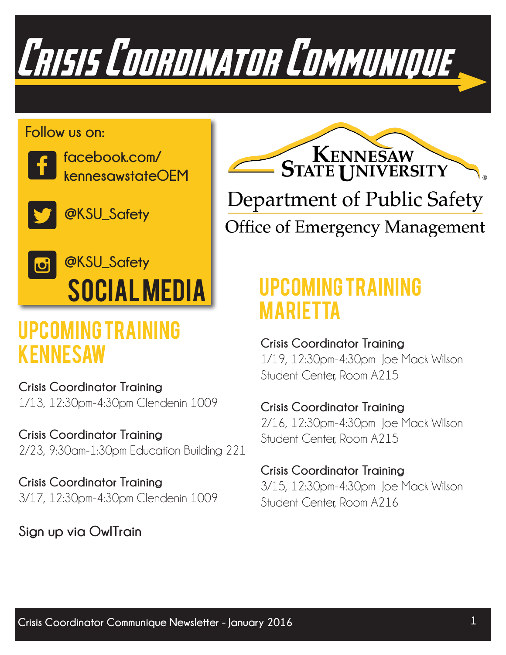

#### **Follow us on:**



**facebook.com/ kennesawstateOEM**

**@KSU\_Safety** J

## Social Media L **@KSU\_Safety**

## Upcoming Training kENNESAW **Crisis Coordinator Training**

**Crisis Coordinator Training** 1/13, 12:30pm-4:30pm Clendenin 1009

**Crisis Coordinator Training** 2/23, 9:30am-1:30pm Education Building 221

**Crisis Coordinator Training** 3/17, 12:30pm-4:30pm Clendenin 1009

### **Sign up via OwlTrain**



## Upcoming Training mARIETTA

 1/19, 12:30pm-4:30pm Joe Mack Wilson Student Center, Room A215

### **Crisis Coordinator Training**

 2/16, 12:30pm-4:30pm Joe Mack Wilson Student Center, Room A215

#### **Crisis Coordinator Training**

 3/15, 12:30pm-4:30pm Joe Mack Wilson Student Center, Room A216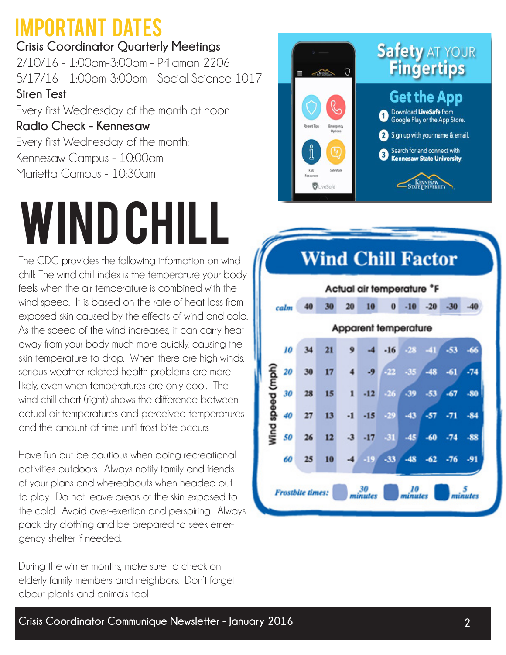## Important Dates

**Crisis Coordinator Quarterly Meetings** 2/10/16 - 1:00pm-3:00pm - Prillaman 2206 5/17/16 - 1:00pm-3:00pm - Social Science 1017 **Siren Test** Every first Wednesday of the month at noon **Radio Check - Kennesaw** Every first Wednesday of the month: Kennesaw Campus - 10:00am

Marietta Campus - 10:30am

## wind chill

The CDC provides the following information on wind chill: The wind chill index is the temperature your body feels when the air temperature is combined with the wind speed. It is based on the rate of heat loss from exposed skin caused by the effects of wind and cold. As the speed of the wind increases, it can carry heat away from your body much more quickly, causing the skin temperature to drop. When there are high winds, serious weather-related health problems are more likely, even when temperatures are only cool. The wind chill chart (right) shows the difference between actual air temperatures and perceived temperatures and the amount of time until frost bite occurs.

Have fun but be cautious when doing recreational activities outdoors. Always notify family and friends of your plans and whereabouts when headed out to play. Do not leave areas of the skin exposed to the cold. Avoid over-exertion and perspiring. Always pack dry clothing and be prepared to seek emer gency shelter if needed.

During the winter months, make sure to check on elderly family members and neighbors. Don't forget about plants and animals too!



## **Wind Chill Factor**